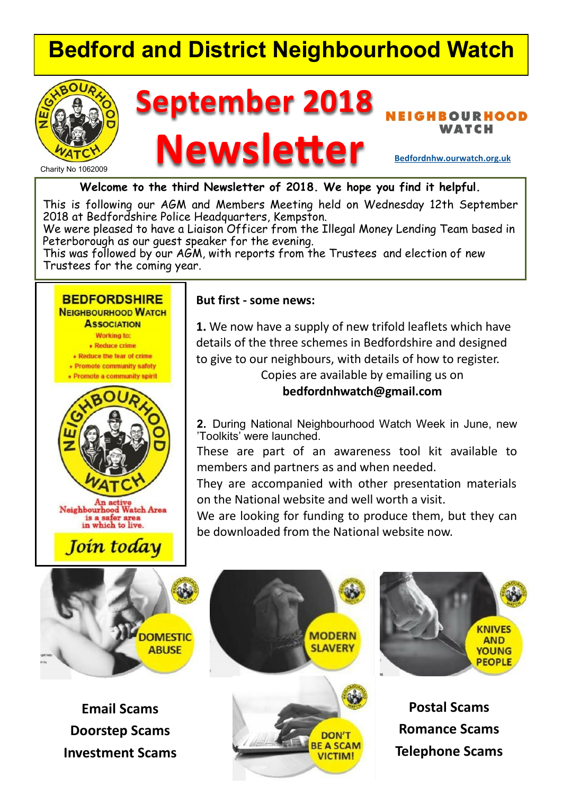### **Bedford and District Neighbourhood Watch**



# **September 2018**

### **RHOOD** WATCH<br> **Newsletter Bedfordnhw.ourwatch.org.uk**

**Welcome to the third Newsletter of 2018. We hope you find it helpful.**

This is following our AGM and Members Meeting held on Wednesday 12th September 2018 at Bedfordshire Police Headquarters, Kempston.

We were pleased to have a Liaison Officer from the Illegal Money Lending Team based in Peterborough as our guest speaker for the evening.

This was followed by our AGM, with reports from the Trustees and election of new Trustees for the coming year.

#### **BEDFORDSHIRE**

**NEIGHBOURHOOD WATCH ASSOCIATION Working to:** • Reduce crime • Reduce the fear of crime • Promote community safety • Promote a community spirit



Join today

#### **But first - some news:**

**1.** We now have a supply of new trifold leaflets which have details of the three schemes in Bedfordshire and designed to give to our neighbours, with details of how to register. Copies are available by emailing us on

**bedfordnhwatch@gmail.com**

**2.** During National Neighbourhood Watch Week in June, new 'Toolkits' were launched.

These are part of an awareness tool kit available to members and partners as and when needed.

They are accompanied with other presentation materials on the National website and well worth a visit.

We are looking for funding to produce them, but they can be downloaded from the National website now.



**Email Scams Doorstep Scams Investment Scams**







**Postal Scams Romance Scams Telephone Scams**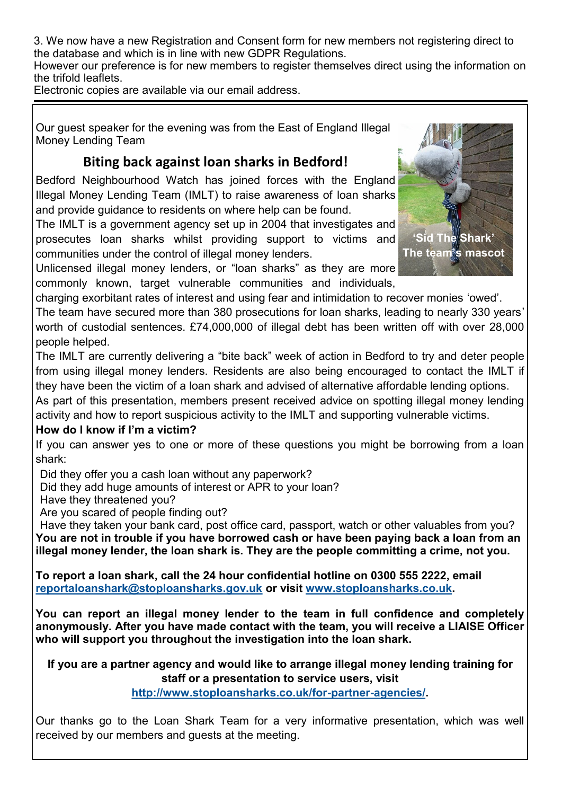3. We now have a new Registration and Consent form for new members not registering direct to the database and which is in line with new GDPR Regulations.

However our preference is for new members to register themselves direct using the information on the trifold leaflets.

Electronic copies are available via our email address.

Our guest speaker for the evening was from the East of England Illegal Money Lending Team

#### **Biting back against loan sharks in Bedford!**

Bedford Neighbourhood Watch has joined forces with the England Illegal Money Lending Team (IMLT) to raise awareness of loan sharks and provide guidance to residents on where help can be found.

The IMLT is a government agency set up in 2004 that investigates and prosecutes loan sharks whilst providing support to victims and communities under the control of illegal money lenders.



Unlicensed illegal money lenders, or "loan sharks" as they are more commonly known, target vulnerable communities and individuals,

charging exorbitant rates of interest and using fear and intimidation to recover monies 'owed'.

The team have secured more than 380 prosecutions for loan sharks, leading to nearly 330 years' worth of custodial sentences. £74,000,000 of illegal debt has been written off with over 28,000 people helped.

The IMLT are currently delivering a "bite back" week of action in Bedford to try and deter people from using illegal money lenders. Residents are also being encouraged to contact the IMLT if they have been the victim of a loan shark and advised of alternative affordable lending options.

As part of this presentation, members present received advice on spotting illegal money lending activity and how to report suspicious activity to the IMLT and supporting vulnerable victims.

#### **How do I know if I'm a victim?**

If you can answer yes to one or more of these questions you might be borrowing from a loan shark:

Did they offer you a cash loan without any paperwork?

Did they add huge amounts of interest or APR to your loan?

Have they threatened you?

Are you scared of people finding out?

Have they taken your bank card, post office card, passport, watch or other valuables from you? **You are not in trouble if you have borrowed cash or have been paying back a loan from an illegal money lender, the loan shark is. They are the people committing a crime, not you.**

**To report a loan shark, call the 24 hour confidential hotline on 0300 555 2222, email reportaloanshark@stoploansharks.gov.uk or visit www.stoploansharks.co.uk.**

**You can report an illegal money lender to the team in full confidence and completely anonymously. After you have made contact with the team, you will receive a LIAISE Officer who will support you throughout the investigation into the loan shark.**

**If you are a partner agency and would like to arrange illegal money lending training for staff or a presentation to service users, visit**

**http://www.stoploansharks.co.uk/for-partner-agencies/.**

Our thanks go to the Loan Shark Team for a very informative presentation, which was well received by our members and guests at the meeting.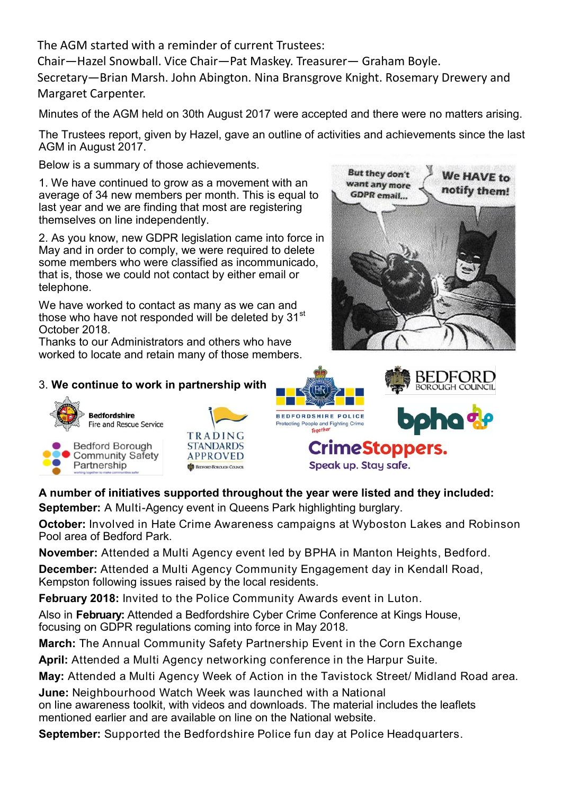The AGM started with a reminder of current Trustees:

Chair—Hazel Snowball. Vice Chair—Pat Maskey. Treasurer— Graham Boyle.

Secretary—Brian Marsh. John Abington. Nina Bransgrove Knight. Rosemary Drewery and Margaret Carpenter.

Minutes of the AGM held on 30th August 2017 were accepted and there were no matters arising.

The Trustees report, given by Hazel, gave an outline of activities and achievements since the last AGM in August 2017.

Below is a summary of those achievements.

1. We have continued to grow as a movement with an average of 34 new members per month. This is equal to last year and we are finding that most are registering themselves on line independently.

2. As you know, new GDPR legislation came into force in May and in order to comply, we were required to delete some members who were classified as incommunicado, that is, those we could not contact by either email or telephone.

We have worked to contact as many as we can and those who have not responded will be deleted by 31<sup>st</sup> October 2018.

Thanks to our Administrators and others who have worked to locate and retain many of those members.



BEDFORL **BOROUGH COUNCIL** 

#### 3. **We continue to work in partnership with**







#### **A number of initiatives supported throughout the year were listed and they included:**

**September:** A Multi-Agency event in Queens Park highlighting burglary.

**October:** Involved in Hate Crime Awareness campaigns at Wyboston Lakes and Robinson Pool area of Bedford Park.

**November:** Attended a Multi Agency event led by BPHA in Manton Heights, Bedford.

**December:** Attended a Multi Agency Community Engagement day in Kendall Road, Kempston following issues raised by the local residents.

**February 2018:** Invited to the Police Community Awards event in Luton.

Also in **February:** Attended a Bedfordshire Cyber Crime Conference at Kings House, focusing on GDPR regulations coming into force in May 2018.

**March:** The Annual Community Safety Partnership Event in the Corn Exchange

**April:** Attended a Multi Agency networking conference in the Harpur Suite.

**May:** Attended a Multi Agency Week of Action in the Tavistock Street/ Midland Road area.

**June:** Neighbourhood Watch Week was launched with a National on line awareness toolkit, with videos and downloads. The material includes the leaflets mentioned earlier and are available on line on the National website.

**September:** Supported the Bedfordshire Police fun day at Police Headquarters.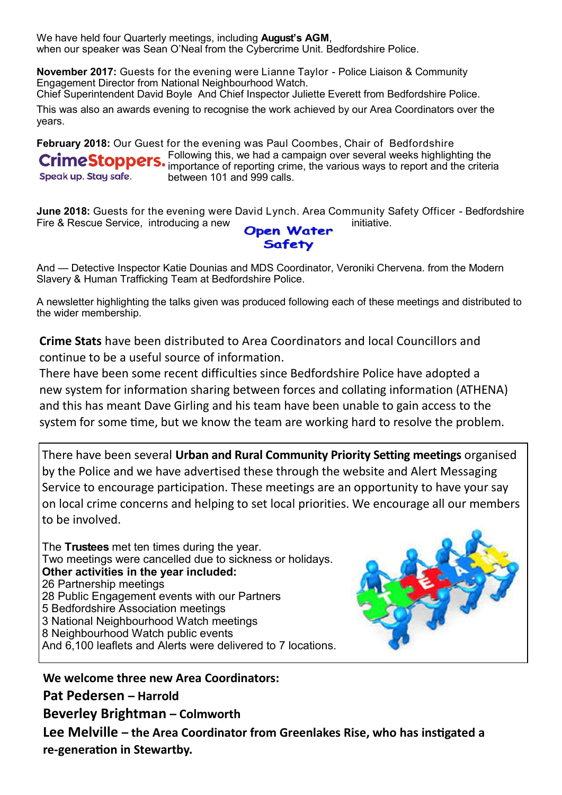We have held four Quarterly meetings, including **August's AGM**, when our speaker was Sean O'Neal from the Cybercrime Unit. Bedfordshire Police.

**November 2017:** Guests for the evening were Lianne Taylor - Police Liaison & Community Engagement Director from National Neighbourhood Watch.

Chief Superintendent David Boyle And Chief Inspector Juliette Everett from Bedfordshire Police.

This was also an awards evening to recognise the work achieved by our Area Coordinators over the years.

**February 2018:** Our Guest for the evening was Paul Coombes, Chair of Bedfordshire Following this, we had a campaign over several weeks highlighting the importance of reporting crime, the various ways to report and the criteria Speak up. Stay safe. between 101 and 999 calls.

**June 2018:** Guests for the evening were David Lynch. Area Community Safety Officer - Bedfordshire<br>Fire & Rescue Service. introducing a new Fire & Rescue Service, introducing a new **Open Water** 

And — Detective Inspector Katie Dounias and MDS Coordinator, Veroniki Chervena. from the Modern Slavery & Human Trafficking Team at Bedfordshire Police.

A newsletter highlighting the talks given was produced following each of these meetings and distributed to the wider membership.

**Crime Stats** have been distributed to Area Coordinators and local Councillors and continue to be a useful source of information.

There have been some recent difficulties since Bedfordshire Police have adopted a new system for information sharing between forces and collating information (ATHENA) and this has meant Dave Girling and his team have been unable to gain access to the system for some time, but we know the team are working hard to resolve the problem.

There have been several **Urban and Rural Community Priority Setting meetings** organised by the Police and we have advertised these through the website and Alert Messaging Service to encourage participation. These meetings are an opportunity to have your say on local crime concerns and helping to set local priorities. We encourage all our members to be involved.

The **Trustees** met ten times during the year. Two meetings were cancelled due to sickness or holidays. **Other activities in the year included:** 26 Partnership meetings 28 Public Engagement events with our Partners 5 Bedfordshire Association meetings 3 National Neighbourhood Watch meetings 8 Neighbourhood Watch public events And 6,100 leaflets and Alerts were delivered to 7 locations.



**We welcome three new Area Coordinators: Pat Pedersen – Harrold Beverley Brightman – Colmworth Lee Melville – the Area Coordinator from Greenlakes Rise, who has ins�gated a re-genera�on in Stewartby.**